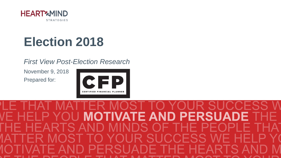

# **Election 2018**

### *First View Post-Election Research*

November 9, 2018 Prepared for:

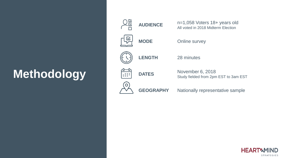# **Methodology**



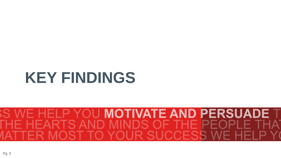# **KEY FINDINGS**

### **MOTIVATE AND PERSUADE** IS. S YOUR SUCCESS WE  $55$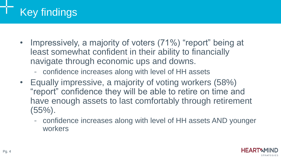## Key findings

- Impressively, a majority of voters (71%) "report" being at least somewhat confident in their ability to financially navigate through economic ups and downs.
	- confidence increases along with level of HH assets
- Equally impressive, a majority of voting workers (58%) "report" confidence they will be able to retire on time and have enough assets to last comfortably through retirement (55%).
	- confidence increases along with level of HH assets AND younger workers

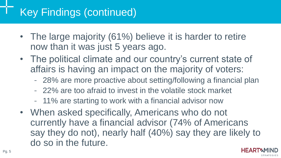## Key Findings (continued)

- The large majority (61%) believe it is harder to retire now than it was just 5 years ago.
- The political climate and our country's current state of affairs is having an impact on the majority of voters:
	- 28% are more proactive about setting/following a financial plan
	- 22% are too afraid to invest in the volatile stock market
	- 11% are starting to work with a financial advisor now
- When asked specifically, Americans who do not currently have a financial advisor (74% of Americans say they do not), nearly half (40%) say they are likely to do so in the future.

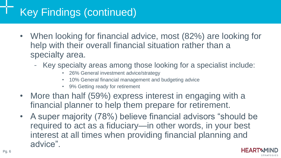## Key Findings (continued)

- When looking for financial advice, most (82%) are looking for help with their overall financial situation rather than a specialty area.
	- Key specialty areas among those looking for a specialist include:
		- 26% General investment advice/strategy
		- 10% General financial management and budgeting advice
		- 9% Getting ready for retirement
- More than half (59%) express interest in engaging with a financial planner to help them prepare for retirement.
- A super majority (78%) believe financial advisors "should be required to act as a fiduciary—in other words, in your best interest at all times when providing financial planning and advice".

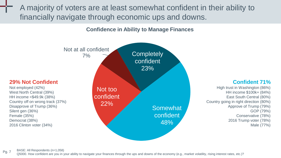A majority of voters are at least somewhat confident in their ability to financially navigate through economic ups and downs.

**Confidence in Ability to Manage Finances**



#### Pg. 7 BASE: All Respondents (n=1,058)

Q5000. How confident are you in your ability to navigate your finances through the ups and downs of the economy (e.g., market volatility, rising interest rates, etc.)?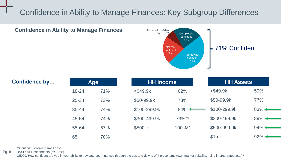### Confidence in Ability to Manage Finances: Key Subgroup Differences



| <b>Confidence by</b> | <b>Age</b> |     | <b>HH Income</b> |        | <b>HH Assets</b> |                        |
|----------------------|------------|-----|------------------|--------|------------------|------------------------|
|                      | $18 - 24$  | 71% | $<$ \$49.9 $k$   | 62%    | $<$ \$49.9 $k$   | 59%                    |
|                      | 25-34      | 73% | \$50-99.9k       | 78%    | \$50-99.9k       | 77%                    |
|                      | $35 - 44$  | 74% | \$100-299.9k     | $84\%$ | \$100-299.9k     | $83\%$                 |
|                      | 45-54      | 74% | \$300-499.9k     | 79%**  | \$300-499.9k     | 89%                    |
|                      | 55-64      | 67% | \$500k+          | 100%** | \$500-999.9k     | $94\%$ $\triangleleft$ |
|                      | $65+$      | 70% |                  |        | $$1m+$           | $92\%$                 |

\*\*Caution: Extremely small base

**Confidence in Ability to Manage Finances**

Pg. 8 BASE: All Respondents (n=1,058)

Q5000. How confident are you in your ability to navigate your finances through the ups and downs of the economy (e.g., market volatility, rising interest rates, etc.)?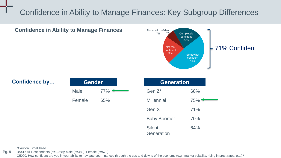### Confidence in Ability to Manage Finances: Key Subgroup Differences



\*Caution: Small base

Pg. 9 BASE: All Respondents (n=1,058); Male (n=480); Female (n=578)

Q5000. How confident are you in your ability to navigate your finances through the ups and downs of the economy (e.g., market volatility, rising interest rates, etc.)?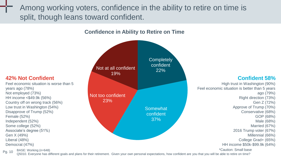Among working voters, confidence in the ability to retire on time is split, though leans toward confident.

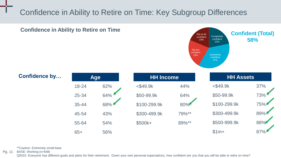### Confidence in Ability to Retire on Time: Key Subgroup Differences



\*\*Caution: Extremely small base

Pg. 11 BASE: Working (n=648)

Q5010. Everyone has different goals and plans for their retirement. Given your own personal expectations, how confident are you that you will be able to retire on time?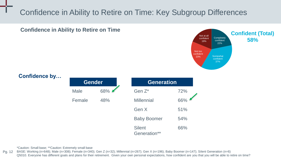### Confidence in Ability to Retire on Time: Key Subgroup Differences



\*Caution: Small base; \*\*Caution: Extremely small base

Pg. 12 BASE: Working (n=648); Male (n=308); Female (n=340); Gen Z (n=32); Millennial (n=267); Gen X (n=196); Baby Boomer (n=147); Silent Generation (n=6) Q5010. Everyone has different goals and plans for their retirement. Given your own personal expectations, how confident are you that you will be able to retire on time?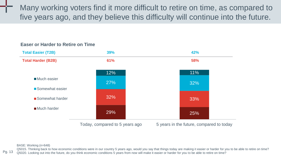Many working voters find it more difficult to retire on time, as compared to five years ago, and they believe this difficulty will continue into the future.



#### **Easer or Harder to Retire on Time**

BASE: Working (n=648)

Pg. 13 Q5015. Thinking back to how economic conditions were in our country 5 years ago, would you say that things today are making it easier or harder for you to be able to retire on time? Q5020. Looking out into the future, do you think economic conditions 5 years from now will make it easier or harder for you to be able to retire on time?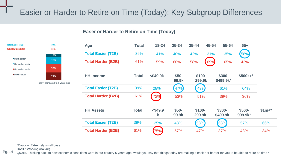### Easier or Harder to Retire on Time (Today): Key Subgroup Differences

#### **Easer or Harder to Retire on Time (Today)**



Today, compared to 5 years ago

| Age                       | <b>Total</b> | $18 - 24$       | 25-34           | $35 - 44$         | 45-54 | 55-64               | $65+$              |         |
|---------------------------|--------------|-----------------|-----------------|-------------------|-------|---------------------|--------------------|---------|
| <b>Total Easier (T2B)</b> | 39%          | 41%             | 40%             | 42%               | 31%   | 35%                 | 58%                |         |
| <b>Total Harder (B2B)</b> | 61%          | 59%             | 60%             | 58%               | 69%   | 65%                 | 42%                |         |
| <b>HH</b> Income          | Total        | $<$ \$49.9 $k$  | $$50-$<br>99.9k | \$100-<br>299.9k  |       | \$300-<br>\$499.9k* | $$500k+*$          |         |
| <b>Total Easier (T2B)</b> | 39%          | 28%             | 47%             | 49%               |       | 61%                 | 64%                |         |
| <b>Total Harder (B2B)</b> | 61%          | 72%             | 53%             | 51%               |       | 39%                 | 36%                |         |
| <b>HH Assets</b>          | <b>Total</b> | $<$ \$49.9<br>k | $$50-$<br>99.9k | $$100-$<br>299.9k |       | \$300-<br>\$499.9k  | $$500-$<br>999.9k* | $$1m+*$ |
| <b>Total Easier (T2B)</b> | 39%          | 25%             | 43%             | 53%               |       | 63%                 | 57%                | 66%     |
| <b>Total Harder (B2B)</b> | 61%          | 75%             | 57%             | 47%               |       | 37%                 | 43%                | 34%     |

\*Caution: Extremely small base

BASE: Working (n=648)

Pg. 14 Q5015. Thinking back to how economic conditions were in our country 5 years ago, would you say that things today are making it easier or harder for you to be able to retire on time?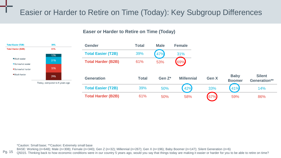### Easier or Harder to Retire on Time (Today): Key Subgroup Differences

#### **Easer or Harder to Retire on Time (Today)**



\*Caution: Small base; \*\*Caution: Extremely small base

**Total Easier (T2B) Total Harder (B2B)** 

Much easier

**Somewhat easier** 

Somewhat harder Much harder

BASE: Working (n=648); Male (n=308); Female (n=340); Gen Z (n=32); Millennial (n=267); Gen X (n=196); Baby Boomer (n=147); Silent Generation (n=6)

Pg. 15 Q5015. Thinking back to how economic conditions were in our country 5 years ago, would you say that things today are making it easier or harder for you to be able to retire on time?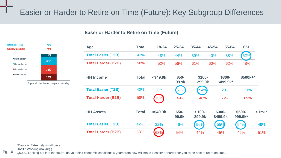### Easier or Harder to Retire on Time (Future): Key Subgroup Differences

#### **Easer or Harder to Retire on Time (Future)**



5 years in the future, compared to today

| Age                       | Total        | $18 - 24$      | 25-34           | 35-44             | 45-54 | 55-64                | $65+$              |         |
|---------------------------|--------------|----------------|-----------------|-------------------|-------|----------------------|--------------------|---------|
| <b>Total Easier (T2B)</b> | 42%          | 48%            | 44%             | 39%               | 40%   | 38%                  | 52%                |         |
| <b>Total Harder (B2B)</b> | 58%          | 52%            | 56%             | 61%               | 60%   | 62%                  | 48%                |         |
| <b>HH Income</b>          | Total        | $<$ \$49.9 $k$ | \$50-<br>99.9k  | $$100-$<br>299.9k |       | $$300-$<br>\$499.9k* | \$500k+*           |         |
| <b>Total Easier (T2B)</b> | 42%          | 30%            | 51%             | 54%               |       | 28%                  | 31%                |         |
| <b>Total Harder (B2B)</b> | 58%          | 70%            | 49%             | 46%               |       | 72%                  | 69%                |         |
| <b>HH Assets</b>          | <b>Total</b> | $<$ \$49.9 $k$ | $$50-$<br>99.9k | \$100-<br>299.9k  |       | \$300-<br>\$499.9k   | $$500-$<br>999.9k* | $$1m+*$ |
| <b>Total Easier (T2B)</b> | 42%          | 32%            | 46%             | 56%               |       | 55%                  | 54%                | 49%     |
| <b>Total Harder (B2B)</b> | 58%          | 68%            | 54%             | 44%               |       | 45%                  | 46%                | 51%     |

\*Caution: Extremely small base

BASE: Working (n=648) )

Q5020. Looking out into the future, do you think economic conditions 5 years from now will make it easier or harder for you to be able to retire on time?

Pg. 16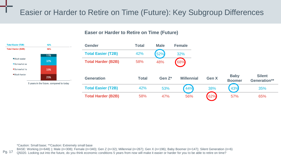### Easier or Harder to Retire on Time (Future): Key Subgroup Differences

#### **Easer or Harder to Retire on Time (Future)**



\*Caution: Small base; \*\*Caution: Extremely small base

42%

58% 11%

32%

33%

25%

**Total Easier (T2B) Total Harder (B2B)** 

Much easier

**Somewhat ear** Somewhat ha

Much harder

Pg. 17 BASE: Working (n=648) ); Male (n=308); Female (n=340); Gen Z (n=32); Millennial (n=267); Gen X (n=196); Baby Boomer (n=147); Silent Generation (n=6) Q5020. Looking out into the future, do you think economic conditions 5 years from now will make it easier or harder for you to be able to retire on time?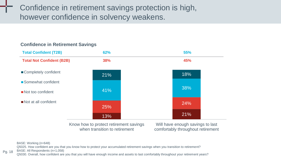Confidence in retirement savings protection is high, however confidence in solvency weakens.

### 13% 21% 25% 24% 41% 38% 21% 18% Know how to protect retirement savings Will have enough savings to last Completely confident ■ Somewhat confident Not too confident Not at all confident **Total Confident (T2B) 62% 55% Total Not Confident (B2B) 38% 45%**

comfortably throughout retirement

#### **Confidence in Retirement Savings**

BASE: Working (n=648)

Q5025. How confident are you that you know how to protect your accumulated retirement savings when you transition to retirement?

when transition to retirement

Pg. 18 BASE: All Respondents (n=1,058)

Q5030. Overall, how confident are you that you will have enough income and assets to last comfortably throughout your retirement years?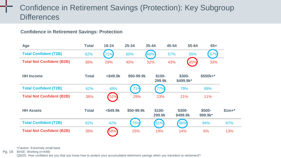### Confidence in Retirement Savings (Protection): Key Subgroup **Differences**

#### **Confidence in Retirement Savings: Protection**

| Age                              | <b>Total</b> | $18 - 24$      | 25-34      | $35 - 44$         | 45-54               | 55-64               | $65+$             |         |
|----------------------------------|--------------|----------------|------------|-------------------|---------------------|---------------------|-------------------|---------|
| <b>Total Confident (T2B)</b>     | 62%          | 71%            | 60%        | 68%               | 57%                 | 55%                 | 67%               |         |
| <b>Total Not Confident (B2B)</b> | 38%          | 29%            | 40%        | 32%               | 43%                 | 45%                 | 33%               |         |
| <b>HH</b> Income                 | Total        | $<$ \$49.9 $k$ | \$50-99.9k | $$100-$<br>299.9k |                     | \$300-<br>\$499.9k* | \$500k+*          |         |
| <b>Total Confident (T2B)</b>     | 62%          | 48%            | 71%        | 77%               |                     | 79%                 | 89%               |         |
| <b>Total Not Confident (B2B)</b> | 38%          | 52%            | 29%        | 23%               |                     | 21%                 | 11%               |         |
| <b>HH Assets</b>                 | <b>Total</b> | $<$ \$49.9 $k$ | \$50-99.9k | $$100-$<br>299.9k | $$300-$<br>\$499.9k |                     | \$500-<br>999.9k* | $$1m+*$ |
| <b>Total Confident (T2B)</b>     | 62%          | 42%            | 75%        | 81%               | 86%                 |                     | 94%               | 87%     |
| <b>Total Not Confident (B2B)</b> | 38%          | 58%            | 25%        | 19%               | 14%                 |                     | 6%                | 13%     |

\*Caution: Extremely small base

Pg. 19 BASE: Working (n=648)

Q5025. How confident are you that you know how to protect your accumulated retirement savings when you transition to retirement?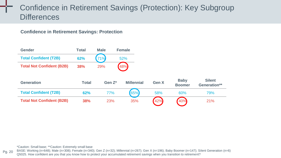### Confidence in Retirement Savings (Protection): Key Subgroup **Differences**

**Confidence in Retirement Savings: Protection**

| <b>Total</b> | <b>Male</b> |                   |                             |                          |                               |
|--------------|-------------|-------------------|-----------------------------|--------------------------|-------------------------------|
| 62%          | 71%         |                   |                             |                          |                               |
| <b>38%</b>   | 29%         |                   |                             |                          |                               |
|              |             |                   |                             |                          |                               |
| <b>Total</b> | Gen Z*      | <b>Millennial</b> | Gen X                       | <b>Boomer</b>            | <b>Silent</b><br>Generation** |
| 62%          | 77%         | 65%               | 58%                         | 60%                      | 79%                           |
|              |             |                   |                             | 40%                      | 21%                           |
|              |             |                   | <b>Female</b><br>52%<br>48% | 42%<br>38%<br>23%<br>35% | <b>Baby</b>                   |

\*Caution: Small base; \*\*Caution: Extremely small base

Pg. 20 BASE: Working (n=648); Male (n=308); Female (n=340); Gen Z (n=32); Millennial (n=267); Gen X (n=196); Baby Boomer (n=147); Silent Generation (n=6) Q5025. How confident are you that you know how to protect your accumulated retirement savings when you transition to retirement?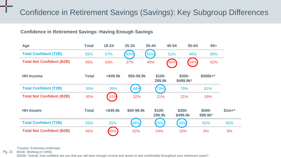### Confidence in Retirement Savings (Savings): Key Subgroup Differences

#### **Confidence in Retirement Savings: Having Enough Savings**

| Age                              | <b>Total</b> | $18 - 24$      | $25 - 34$  | $35 - 44$         | 45-54<br>55-64      | $65+$              |         |
|----------------------------------|--------------|----------------|------------|-------------------|---------------------|--------------------|---------|
| <b>Total Confident (T2B)</b>     | 55%          | 57%            | 63%        | 60%               | 51%<br>46%          | 58%                |         |
| <b>Total Not Confident (B2B)</b> | 45%          | 43%            | 37%        | 40%               | 54%<br>49%          | 42%                |         |
| <b>HH</b> Income                 | <b>Total</b> | $<$ \$49.9 $k$ | \$50-99.9k | $$100-$<br>299.9k | \$300-<br>\$499.9k* | $$500k+*$          |         |
| <b>Total Confident (T2B)</b>     | 55%          | 39%            | 68%        | 79%               | 79%                 | 81%                |         |
| <b>Total Not Confident (B2B)</b> | 45%          | 61%            | 32%        | 21%               | 21%                 | 19%                |         |
| <b>HH Assets</b>                 | <b>Total</b> | $<$ \$49.9 $k$ | \$50-99.9k | $$100-$<br>299.9k | \$300-<br>\$499.9k  | $$500-$<br>999.9k* | $$1m+*$ |
| <b>Total Confident (T2B)</b>     | 55%          | 35%            | 68%        | 76%               | 85%                 | 91%                | 92%     |
| <b>Total Not Confident (B2B)</b> | 45%          | 65%            | 32%        | 24%               | 15%                 | 9%                 | 8%      |

\*Caution: Extremely small base

Pg. 21 BASE: Working (n=1058)

Q5030. Overall, how confident are you that you will have enough income and assets to last comfortably throughout your retirement years?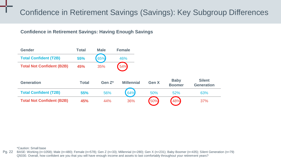### Confidence in Retirement Savings (Savings): Key Subgroup Differences

#### **Confidence in Retirement Savings: Having Enough Savings**

| Gender                           | <b>Total</b> | <b>Male</b> | Female            |       |                              |                                    |
|----------------------------------|--------------|-------------|-------------------|-------|------------------------------|------------------------------------|
| <b>Total Confident (T2B)</b>     | 55%          | 65%         | 46%               |       |                              |                                    |
| <b>Total Not Confident (B2B)</b> | 45%          | 35%         | 54%               |       |                              |                                    |
| <b>Generation</b>                | <b>Total</b> | Gen $Z^*$   | <b>Millennial</b> | Gen X | <b>Baby</b><br><b>Boomer</b> | <b>Silent</b><br><b>Generation</b> |
| <b>Total Confident (T2B)</b>     | 55%          | 56%         | 64%               | 50%   | 52%                          | 63%                                |
| <b>Total Not Confident (B2B)</b> | 45%          | 44%         | 36%               | (50%) | 48%                          | 37%                                |

\*Caution: Small base

Pg. 22 BASE: Working (n=1058); Male (n=480); Female (n=578); Gen Z (n=33); Millennial (n=280); Gen X (n=231); Baby Boomer (n=435); Silent Generation (n=79) Q5030. Overall, how confident are you that you will have enough income and assets to last comfortably throughout your retirement years?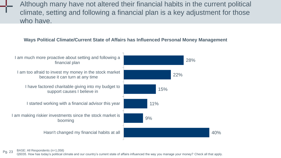Although many have not altered their financial habits in the current political climate, setting and following a financial plan is a key adjustment for those who have.

#### **Ways Political Climate/Current State of Affairs has Influenced Personal Money Management**



Pg. 23 BASE: All Respondents (n=1,058)

Q5035. How has today's political climate and our country's current state of affairs influenced the way you manage your money? Check all that apply.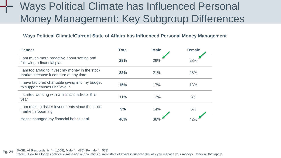## Ways Political Climate has Influenced Personal Money Management: Key Subgroup Differences

#### **Ways Political Climate/Current State of Affairs has Influenced Personal Money Management**

| Gender                                                                                    | <b>Total</b> | <b>Male</b> | <b>Female</b> |
|-------------------------------------------------------------------------------------------|--------------|-------------|---------------|
| I am much more proactive about setting and<br>following a financial plan                  | <b>28%</b>   | 29%         | 28%           |
| I am too afraid to invest my money in the stock<br>market because it can turn at any time | 22%          | 21%         | 23%           |
| I have factored charitable giving into my budget<br>to support causes I believe in        | 15%          | 17%         | 13%           |
| I started working with a financial advisor this<br>year                                   | 11%          | 13%         | 8%            |
| I am making riskier investments since the stock<br>marker is booming                      | 9%           | 14%         | 5%            |
| Hasn't changed my financial habits at all                                                 | 40%          | 38%         |               |

Pg. 24 BASE: All Respondents (n=1,058); Male (n=480); Female (n=578)

Q5035. How has today's political climate and our country's current state of affairs influenced the way you manage your money? Check all that apply.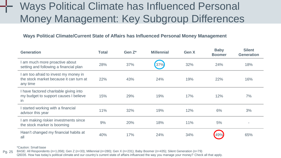## Ways Political Climate has Influenced Personal Money Management: Key Subgroup Differences

#### **Ways Political Climate/Current State of Affairs has Influenced Personal Money Management**

| <b>Generation</b>                                                                            | Total | Gen $Z^*$ | <b>Millennial</b> | Gen X | <b>Baby</b><br><b>Boomer</b> | <b>Silent</b><br><b>Generation</b> |
|----------------------------------------------------------------------------------------------|-------|-----------|-------------------|-------|------------------------------|------------------------------------|
| I am much more proactive about<br>setting and following a financial plan                     | 28%   | 37%       | 37%               | 32%   | 24%                          | 18%                                |
| I am too afraid to invest my money in<br>the stock market because it can turn at<br>any time | 22%   | 43%       | 24%               | 19%   | 22%                          | 16%                                |
| I have factored charitable giving into<br>my budget to support causes I believe<br>in        | 15%   | 29%       | 19%               | 17%   | 12%                          | 7%                                 |
| I started working with a financial<br>advisor this year                                      | 11%   | 32%       | 19%               | 12%   | 6%                           | 3%                                 |
| I am making riskier investments since<br>the stock marker is booming                         | 9%    | 20%       | 18%               | 11%   | 5%                           |                                    |
| Hasn't changed my financial habits at<br>all                                                 | 40%   | 17%       | 24%               | 34%   | 49%                          | 65%                                |

\*Caution: Small base

Pg. 25 BASE: All Respondents (n=1,058); Gen Z (n=33); Millennial (n=280); Gen X (n=231); Baby Boomer (n=435); Silent Generation (n=79) Q5035. How has today's political climate and our country's current state of affairs influenced the way you manage your money? Check all that apply.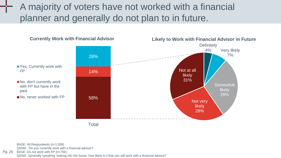A majority of voters have not worked with a financial planner and generally do not plan to in future.



BASE: All Respondents (n=1,058)

Q5040. Do you currently work with a financial advisor?

Pg. 26 BASE: Do not work with FP (n=750)

Q5045. Generally speaking, looking into the future, how likely is it that you will work with a financial advisor?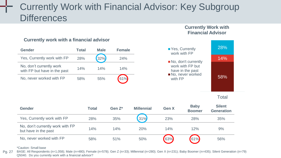### Currently Work with Financial Advisor: Key Subgroup **Differences**

#### **Currently Work with Financial Advisor**



#### **Currently work with a financial advisor**

#### Total

58%

14%

28%

| Gender                                                   | Total | Gen $Z^*$ | <b>Millennial</b> | Gen X | <b>Baby</b><br><b>Boomer</b> | <b>Silent</b><br><b>Generation</b> |
|----------------------------------------------------------|-------|-----------|-------------------|-------|------------------------------|------------------------------------|
| Yes, Currently work with FP                              | 28%   | 35%       | 31%               | 23%   | 28%                          | 35%                                |
| No, don't currently work with FP<br>but have in the past | 14%   | 14%       | 20%               | 14%   | 12%                          | 9%                                 |
| No, never worked with FP                                 | 58%   | 51%       | 50%               | 63%   | 61%                          | 56%                                |

\*Caution: Small base

Pg. 27 BASE: All Respondents (n=1,058); Male (n=480); Female (n=578); Gen Z (n=33); Millennial (n=280); Gen X (n=231); Baby Boomer (n=435); Silent Generation (n=79) Q5040. Do you currently work with a financial advisor?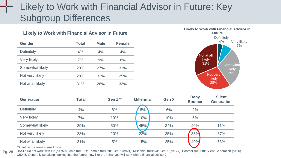### Likely to Work with Financial Advisor in Future: Key Subgroup Differences

#### **Likely to Work with Financial Advisor in Future**

| Gender            | <b>Total</b> | <b>Male</b> | <b>Female</b> |
|-------------------|--------------|-------------|---------------|
| Definitely        | 4%           | 4%          | 4%            |
| Very likely       | 7%           | 9%          | 6%            |
| Somewhat likely   | 29%          | 27%         | 31%           |
| Not very likely   | 28%          | 32%         | 25%           |
| Not at all likely | 31%          | 28%         | 33%           |



| <b>Generation</b> | Total | Gen Z** | <b>Millennial</b> | <b>Gen X</b> | <b>Baby</b><br><b>Boomer</b> | <b>Silent</b><br><b>Generation</b> |
|-------------------|-------|---------|-------------------|--------------|------------------------------|------------------------------------|
| Definitely        | 4%    | 6%      | 8%                | 6%           | 2%                           | ۰                                  |
| Very likely       | 7%    | 19%     | 10%               | 10%          | 5%                           | ۰                                  |
| Somewhat likely   | 29%   | 50%     | 45%               | 34%          | 20%                          | 11%                                |
| Not very likely   | 28%   | 20%     | 22%               | 25%          | 33%                          | 37%                                |
| Not at all likely | 31%   | 5%      | 15%               | 25%          | 40%                          | 53%                                |

\*\*Caution: Extremely small base

Pg. 28 BASE: Do not work with FP (n=750); Male (n=321); Female (n=429); Gen Z (n=21); Millennial (n=194); Gen X (n=177); Boomer (n=308); Silent Generation (n=50) Q5045. Generally speaking, looking into the future, how likely is it that you will work with a financial advisor?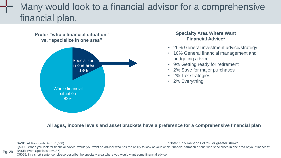### Many would look to a financial advisor for a comprehensive financial plan.

#### **Prefer "whole financial situation" vs. "specialize in one area"**



#### **Specialty Area Where Want Financial Advice\***

- 26% General investment advice/strategy
- 10% General financial management and budgeting advice
- 9% Getting ready for retirement
- 2% Save for major purchases
- 2% Tax strategies
- 2% Everything

#### **All ages, income levels and asset brackets have a preference for a comprehensive financial plan**

Pg. 29 BASE: All Respondents (n=1,058) Q5050. When you look for financial advice, would you want an advisor who has the ability to look at your whole financial situation or one who specializes in one area of your finances? BASE: Want Specialist (n=187) \*Note: Only mentions of 2% or greater shown

Q5055. In a short sentence, please describe the specialty area where you would want some financial advice.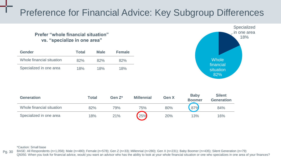### Preference for Financial Advice: Key Subgroup Differences

#### **Prefer "whole financial situation" vs. "specialize in one area"**

| Gender                    | <b>Total</b> | <b>Male</b> | <b>Female</b> |
|---------------------------|--------------|-------------|---------------|
| Whole financial situation | 82%          | 82%         | 82%           |
| Specialized in one area   | 18%          | 18%         | 18%           |



| <b>Generation</b>         | Total | Gen $Z^*$ | <b>Millennial</b> | Gen X | <b>Baby</b><br><b>Boomer</b> | <b>Silent</b><br><b>Generation</b> |
|---------------------------|-------|-----------|-------------------|-------|------------------------------|------------------------------------|
| Whole financial situation | 82%   | 79%       | 75%               | 80%   | 87%                          | 84%                                |
| Specialized in one area   | 18%   | 21%       | <b>25%</b>        | 20%   | 13%                          | 16%                                |

\*Caution: Small base

Pg. 30 BASE: All Respondents (n=1,058); Male (n=480); Female (n=578); Gen Z (n=33); Millennial (n=280); Gen X (n=231); Baby Boomer (n=435); Silent Generation (n=79) Q5050. When you look for financial advice, would you want an advisor who has the ability to look at your whole financial situation or one who specializes in one area of your finances?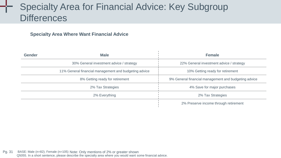### Specialty Area for Financial Advice: Key Subgroup **Differences**

#### **Specialty Area Where Want Financial Advice**

| <b>Gender</b> | <b>Male</b>                                           | <b>Female</b>                                        |
|---------------|-------------------------------------------------------|------------------------------------------------------|
|               | 30% General investment advice / strategy              | 22% General investment advice / strategy             |
|               | 11% General financial management and budgeting advice | 10% Getting ready for retirement                     |
|               | 8% Getting ready for retirement                       | 9% General financial management and budgeting advice |
|               | 2% Tax Strategies                                     | 4% Save for major purchases                          |
|               | 2% Everything                                         | 2% Tax Strategies                                    |
|               |                                                       | 2% Preserve income through retirement                |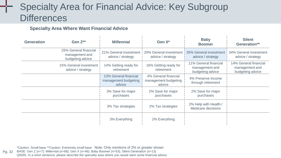### Specialty Area for Financial Advice: Key Subgroup **Differences**

#### **Specialty Area Where Want Financial Advice**

| <b>Generation</b> | Gen Z**                                                     | <b>Millennial</b>                                       | Gen X <sup>*</sup>                                     | <b>Baby</b><br><b>Boomer</b>                                | <b>Silent</b><br>Generation**                               |
|-------------------|-------------------------------------------------------------|---------------------------------------------------------|--------------------------------------------------------|-------------------------------------------------------------|-------------------------------------------------------------|
|                   | 25% General financial<br>management and<br>budgeting advice | 21% General investment<br>advice / strategy             | 20% General investment<br>advice / strategy            | 35% General investment<br>advice / strategy                 | 34% General investment<br>advice / strategy                 |
|                   | 15% General investment<br>advice / strategy                 | 14% Getting ready for<br>retirement                     | 16% Getting ready for<br>retirement                    | 11% General financial<br>management and<br>budgeting advice | 14% General financial<br>management and<br>budgeting advice |
|                   |                                                             | 13% General financial<br>management budgeting<br>advice | 4% General financial<br>management budgeting<br>advice | 4% Preserve income<br>through retirement                    |                                                             |
|                   |                                                             | 3% Save for major<br>purchases                          | 2% Save for major<br>purchases                         | 2% Save for major<br>purchases                              |                                                             |
|                   |                                                             | 3% Tax strategies                                       | 2% Tax strategies                                      | 2% Help with Health /<br>Medicare decisions                 |                                                             |
|                   |                                                             | 3% Everything                                           | 2% Everything                                          |                                                             |                                                             |

Pg. 32 BASE: Gen Z (n=7); Millennial (n=68); Gen X (n=46); Baby Boomer (n=53); Silent Generation (n=13) \*Caution: Small base \*\*Caution: Extremely small base Note: Only mentions of 2% or greater shownQ5055. In a short sentence, please describe the specialty area where you would want some financial advice.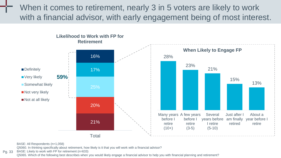When it comes to retirement, nearly 3 in 5 voters are likely to work with a financial advisor, with early engagement being of most interest.



BASE: All Respondents (n=1,058)

Q5060. In thinking specifically about retirement, how likely is it that you will work with a financial advisor?

Pg. 33 BASE: Likely to work with FP for retirement (n=633)

Q5065. Which of the following best describes when you would likely engage a financial advisor to help you with financial planning and retirement?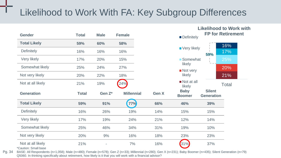### Likelihood to Work With FA: Key Subgroup Differences

|                                           |              |             |                   |              |                              |                                    | <b>Likelihood to Work with</b> |
|-------------------------------------------|--------------|-------------|-------------------|--------------|------------------------------|------------------------------------|--------------------------------|
| <b>Gender</b>                             | <b>Total</b> | <b>Male</b> | <b>Female</b>     |              | Definitely                   |                                    | <b>FP for Retirement</b>       |
| <b>Total Likely</b>                       | 59%          | 60%         | 58%               |              |                              |                                    | 16%                            |
| Definitely                                | 16%          | 16%         | 16%               |              | <b>Very likely</b>           | 59%                                | 17%                            |
| Very likely                               | 17%          | 20%         | 15%               |              | ■ Somewhat                   |                                    | 25%                            |
| Somewhat likely                           | 25%          | 24%         | 27%               |              | likely                       |                                    | 20%                            |
| Not very likely                           | 20%          | 22%         | 18%               |              | ■ Not very<br>likely         |                                    | 21%                            |
| Not at all likely                         | 21%          | 19%         | 24%               |              | Not at all<br>likely         |                                    | <b>Total</b>                   |
| <b>Generation</b>                         | <b>Total</b> | Gen Z*      | <b>Millennial</b> | <b>Gen X</b> | <b>Baby</b><br><b>Boomer</b> | <b>Silent</b><br><b>Generation</b> |                                |
| <b>Total Likely</b>                       | 59%          | 91%         | 77%               | 66%          | 46%                          | 39%                                |                                |
| Definitely                                | 16%          | 26%         | 19%               | 14%          | 15%                          | 15%                                |                                |
| Very likely                               | 17%          | 19%         | 24%               | 21%          | 12%                          | 14%                                |                                |
| Somewhat likely                           | 25%          | 46%         | 34%               | 31%          | 19%                          | 10%                                |                                |
| Not very likely                           | 20%          | 9%          | 16%               | 18%          | 23%                          | 23%                                |                                |
| Not at all likely<br>*Caution: Small base | 21%          | ٠           | 7%                | 16%          | 31%                          | 37%                                |                                |

Pg. 34 BASE: All Respondents (n=1,058); Male (n=480); Female (n=578); Gen Z (n=33); Millennial (n=280); Gen X (n=231); Baby Boomer (n=435); Silent Generation (n=79) Q5060. In thinking specifically about retirement, how likely is it that you will work with a financial advisor?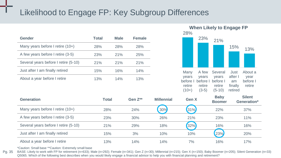### Likelihood to Engage FP: Key Subgroup Differences

| Gender                               | <b>Total</b> | <b>Male</b> | <b>Female</b> |
|--------------------------------------|--------------|-------------|---------------|
| Many years before I retire $(10+)$   | 28%          | 28%         | 28%           |
| A few years before I retire (3-5)    | 23%          | 21%         | 25%           |
| Several years before I retire (5-10) | 21%          | 21%         | 21%           |
| Just after I am finally retired      | 15%          | 16%         | 14%           |
| About a year before I retire         | 13%          | 14%         | 13%           |



| <b>Generation</b>                    | Total | Gen $Z^{**}$ | <b>Millennial</b> | <b>Gen X</b> | <b>Baby</b><br><b>Boomer</b> | <b>Silent</b><br>Generation* |
|--------------------------------------|-------|--------------|-------------------|--------------|------------------------------|------------------------------|
| Many years before I retire (10+)     | 28%   | 24%          | 30%               | (31%)        | 22%                          | 37%                          |
| A few years before I retire (3-5)    | 23%   | 30%          | 26%               | 21%          | 23%                          | 11%                          |
| Several years before I retire (5-10) | 21%   | 29%          | 18%               | 32%          | 16%                          | 16%                          |
| Just after I am finally retired      | 15%   | 3%           | 10%               | 10%          | 23%                          | 20%                          |
| About a year before I retire         | 13%   | 14%          | 14%               | 7%           | 16%                          | 17%                          |

\*Caution: Small base \*\*Caution: Extremely small base

Pg. 35 BASE: Likely to work with FP for retirement (n=633); Male (n=292); Female (n=341); Gen Z (n=30); Millennial (n=215); Gen X (n=150); Baby Boomer (n=205); Silent Generation (n=33) Q5065. Which of the following best describes when you would likely engage a financial advisor to help you with financial planning and retirement?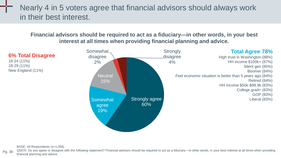Nearly 4 in 5 voters agree that financial advisors should always work in their best interest.

**Financial advisors should be required to act as a fiduciary—in other words, in your best interest at all times when providing financial planning and advice.**



**6% Total Disagree**

18-24 (11%) 18-29 (11%) New England (11%)

BASE: All Respondents (n=1,058)

Pg. 36 Q5070. Do you agree or disagree with the following statement? Financial advisors should be required to act as a fiduciary—in other words, in your best interest at all times when providing financial planning and advice.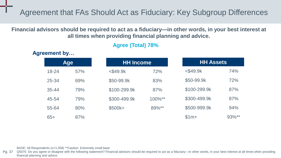Agreement that FAs Should Act as Fiduciary: Key Subgroup Differences

**Financial advisors should be required to act as a fiduciary—in other words, in your best interest at all times when providing financial planning and advice.**

### **Agree (Total) 78%**

**Age** 18-24 57% 25-34 69% 35-44 79% 45-54 79% 55-64 80% 65+ 87% **HH Income** <\$49.9k 72% \$50-99.9k 83% \$100-299.9k 87% \$300-499.9k 100%\*\* \$500k+ 89%\*\* **HH Assets** <\$49.9k 74% \$50-99.9k 72% \$100-299.9k 87% \$300-499.9k 87% \$500-999.9k 94%  $$1m+$  93%\*\*

BASE: All Respondents (n=1,058) \*\*Caution: Extremely small base

Pg. 37 Q5070. Do you agree or disagree with the following statement? Financial advisors should be required to act as a fiduciary—in other words, in your best interest at all times when providing financial planning and advice.

**Agreement by…**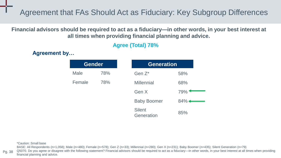Agreement that FAs Should Act as Fiduciary: Key Subgroup Differences

**Financial advisors should be required to act as a fiduciary—in other words, in your best interest at all times when providing financial planning and advice.**

### **Agree (Total) 78%**

**Agreement by…**

| <b>Gender</b> |     | <b>Generation</b>           |          |
|---------------|-----|-----------------------------|----------|
| Male          | 78% | Gen $Z^*$                   | 58%      |
| Female        | 78% | <b>Millennial</b>           | 68%      |
|               |     | Gen X                       | 79%      |
|               |     | <b>Baby Boomer</b>          | $84\%$ + |
|               |     | <b>Silent</b><br>Generation | 85%      |

\*Caution: Small base

BASE: All Respondents (n=1,058); Male (n=480); Female (n=578); Gen Z (n=33); Millennial (n=280); Gen X (n=231); Baby Boomer (n=435); Silent Generation (n=79)

Pg. 38 Q5070. Do you agree or disagree with the following statement? Financial advisors should be required to act as a fiduciary—in other words, in your best interest at all times when providing financial planning and advice.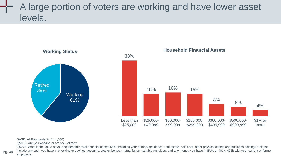### A large portion of voters are working and have lower asset levels.



#### BASE: All Respondents (n=1,058)

Pg. 39

Q5005. Are you working or are you retired?

Q5075. What is the value of your household's total financial assets NOT including your primary residence, real estate, car, boat, other physical assets and business holdings? Please include any cash you have in checking or savings accounts, stocks, bonds, mutual funds, variable annuities, and any money you have in IRAs or 401k, 403b with your current or former employers.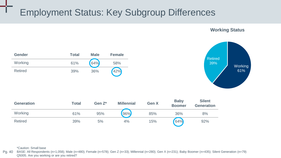### Employment Status: Key Subgroup Differences



**Working Status**

**Gender Total Male Female** Working 61% 64% 58% Retired 39% 36% 42%

| <b>Generation</b> | Total | Gen $Z^*$ | <b>Millennial</b> | <b>Gen X</b> | <b>Baby</b><br><b>Boomer</b> | <b>Silent</b><br><b>Generation</b> |
|-------------------|-------|-----------|-------------------|--------------|------------------------------|------------------------------------|
| Working           | 61%   | 95%       | 96%               | 85%          | 36%                          | 8%                                 |
| <b>Retired</b>    | 39%   | 5%        | 4%                | 15%          | 64%                          | 92%                                |

#### \*Caution: Small base

Pg. 40 BASE: All Respondents (n=1,058); Male (n=480); Female (n=578); Gen Z (n=33); Millennial (n=280); Gen X (n=231); Baby Boomer (n=435); Silent Generation (n=79) Q5005. Are you working or are you retired?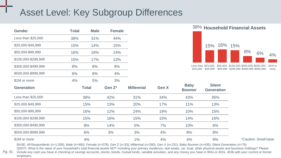### Asset Level: Key Subgroup Differences

| <b>Gender</b>       | <b>Total</b> | <b>Male</b> | <b>Female</b> |                   |       | <u>- 70</u>                  |                                          | <b>TIULISTIIUIU FIIIATIUM ASSTIS</b>                                              |    |                |
|---------------------|--------------|-------------|---------------|-------------------|-------|------------------------------|------------------------------------------|-----------------------------------------------------------------------------------|----|----------------|
| Less than \$25,000  | 38%          | 31%         | 44%           |                   |       |                              |                                          |                                                                                   |    |                |
| \$25,000-\$49,999   | 15%          | 14%         | 15%           |                   |       |                              | 16%<br>15%                               | 15%                                                                               |    |                |
| \$50,000-\$99,999   | 16%          | 18%         | 14%           |                   |       |                              |                                          | 8%                                                                                | 6% | 4 <sup>o</sup> |
| \$100,000-\$299,999 | 15%          | 17%         | 13%           |                   |       |                              |                                          |                                                                                   |    |                |
| \$300,000-\$499,999 | 8%           | 8%          | 8%            |                   |       |                              | Less than \$25,000-<br>\$25,000 \$49,999 | \$50,000-\$100,000-\$300,000-\$500,000-<br>\$99,999 \$299,999 \$499,999 \$999,999 |    | \$1M<br>mor    |
| \$500,000-\$999,999 | 6%           | 8%          | 4%            |                   |       |                              |                                          |                                                                                   |    |                |
| \$1M or more        | 4%           | 5%          | 3%            |                   |       |                              |                                          |                                                                                   |    |                |
| <b>Generation</b>   |              | Total       | Gen Z*        | <b>Millennial</b> | Gen X | <b>Baby</b><br><b>Boomer</b> | <b>Silent</b><br><b>Generation</b>       |                                                                                   |    |                |
| Less than \$25,000  |              | 38%         | 42%           | 31%               | 34%   | 43%                          | 35%                                      |                                                                                   |    |                |
| \$25,000-\$49,999   |              | 15%         | 13%           | 20%               | 17%   | 11%                          | 13%                                      |                                                                                   |    |                |
| \$50,000-\$99,999   |              | 16%         | 12%           | 24%               | 19%   | 10%                          | 15%                                      |                                                                                   |    |                |
| \$100,000-\$299,999 |              | 15%         | 16%           | 15%               | 15%   | 14%                          | 16%                                      |                                                                                   |    |                |
| \$300,000-\$499,999 |              | 8%          | 14%           | 5%                | 7%    | 10%                          | 6%                                       |                                                                                   |    |                |
| \$500,000-\$999,999 |              | 6%          | 3%            | 3%                | 4%    | 8%                           | 8%                                       |                                                                                   |    |                |
| \$1M or more        |              | 4%          |               | $1\%$             | 4%    | 4%                           | 9%                                       | *Caution: Small base                                                              |    |                |



 $\frac{8\%}{4\%}$  6% 4%

BASE: All Respondents (n=1,058); Male (n=480); Female (n=578); Gen Z (n=33); Millennial (n=280); Gen X (n=231); Baby Boomer (n=435); Silent Generation (n=79)

Pg. 41 Q5075. What is the value of your household's total financial assets NOT including your primary residence, real estate, car, boat, other physical assets and business holdings? Please include any cash you have in checking or savings accounts, stocks, bonds, mutual funds, variable annuities, and any money you have in IRAs or 401k, 403b with your current or former employers.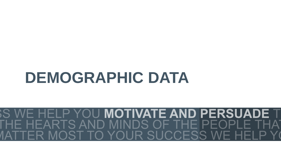# **DEMOGRAPHIC DATA**

### **MOTIVATE AND PERSUADE T**  $P Y()U$ EARTS AND MINDS OF THE PEOPI O YOUR SUCCESS WE IOST T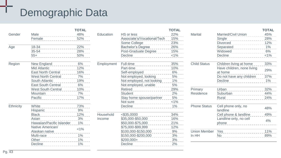## Demographic Data

|           |                           | <b>TOTAL</b> |            |                             | <b>TOTAL</b> |                     |                            | <b>TOTAL</b> |
|-----------|---------------------------|--------------|------------|-----------------------------|--------------|---------------------|----------------------------|--------------|
| Gender    | Male                      | 48%          | Education  | HS or less                  | 22%          | Marital             | Married/Civil Union        | 45%          |
|           | Female                    | 52%          |            | Associate's/Vocational/Tech | 15%          |                     | Single                     | 28%          |
|           |                           |              |            | Some College                | 23%          |                     | <b>Divorced</b>            | 12%          |
| Age       | 18-34                     | 22%          |            | Bachelor's Degree           | 26%          |                     | Separated                  | $1\%$        |
|           | $35 - 54$                 | 28%          |            | Post-Graduate Degree        | 15%          |                     | Widowed                    | 6%           |
|           | $55+$                     | 50%          |            | Decline                     | $< 1\%$      |                     | Decline                    | $< 1\%$      |
| Region    | New England               | 6%           | Employment | Full-time                   | 35%          | <b>Child Status</b> | Children living at home    | 33%          |
|           | Mid Atlantic              | 12%          |            | Part-time                   | 10%          |                     | Have children, none living |              |
|           | <b>East North Central</b> | 16%          |            | Self-employed               | 6%           |                     | at home                    | 29%          |
|           | <b>West North Central</b> | 7%           |            | Not employed, looking       | 5%           |                     | Do not have any children   | 37%          |
|           | South Atlantic            | 19%          |            | Not employed, not looking   | 1%           |                     | Decline                    | 1%           |
|           | <b>East South Central</b> | 6%           |            | Not employed, unable        | 5%           |                     |                            |              |
|           | <b>West South Central</b> | 10%          |            | Retired                     | 29%          | Primary             | Urban                      | 32%          |
|           | Mountain                  | 7%           |            | Student                     | 2%           | Residence           | Suburban                   | 44%          |
|           | Pacific                   | 17%          |            | Stay home spouse/partner    | 5%           |                     | Rural                      | 24%          |
|           |                           |              |            | Not sure                    | $< 1\%$      |                     |                            |              |
| Ethnicity | White                     | 73%          |            | Decline                     | 1%           | <b>Phone Status</b> | Cell phone only, no        |              |
|           | <b>Hispanic</b>           | 9%           |            |                             |              |                     | landline                   | 48%          |
|           | <b>Black</b>              | 12%          | Household  | $<$ \$35,0000               | 34%          |                     | Cell phone & landline      | 49%          |
|           | Asian                     | 3%           | Income     | \$35,000-\$50,000           | 16%          |                     | Landline only, no cell     | 4%           |
|           | Hawaiian/Pacific Islander | $1\%$        |            | \$50,000-\$75,000           | 21%          |                     | phone                      |              |
|           | Native American/          | $< 1\%$      |            | \$75,000-\$99,999           | 12%          |                     |                            |              |
|           | Alaskan native            |              |            | \$100,000-\$150,000         | 9%           | <b>Union Member</b> | Yes                        | 11%          |
|           | Multi-race                | $1\%$        |            | \$150,000-\$200,000         | 3%           | In HH               | <b>No</b>                  | 89%          |
|           | Other                     | 1%           |            | $$200,000+$                 | 3%           |                     |                            |              |
|           | Decline                   | $1\%$        |            | <b>Decline</b>              | 2%           |                     |                            |              |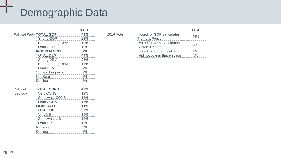## Demographic Data

|           |                                                                                                                                                                                                                                                                                                                                                                                                                  | <b>TOTAL</b> |
|-----------|------------------------------------------------------------------------------------------------------------------------------------------------------------------------------------------------------------------------------------------------------------------------------------------------------------------------------------------------------------------------------------------------------------------|--------------|
|           | Political Party TOTAL GOP                                                                                                                                                                                                                                                                                                                                                                                        | 43%          |
|           | Strong GOP                                                                                                                                                                                                                                                                                                                                                                                                       | 23%          |
|           | Not-so-strong GOP                                                                                                                                                                                                                                                                                                                                                                                                | 10%          |
|           | Lean GOP<br>------                                                                                                                                                                                                                                                                                                                                                                                               | 10%          |
|           | <b>INDEPENDENT</b><br>.                                                                                                                                                                                                                                                                                                                                                                                          | 7%           |
|           | <b>TOTAL DEM</b><br>$\frac{1}{2} \frac{1}{2} \frac{1}{2} \frac{1}{2} \frac{1}{2} \frac{1}{2} \frac{1}{2} \frac{1}{2} \frac{1}{2} \frac{1}{2} \frac{1}{2} \frac{1}{2} \frac{1}{2} \frac{1}{2} \frac{1}{2} \frac{1}{2} \frac{1}{2} \frac{1}{2} \frac{1}{2} \frac{1}{2} \frac{1}{2} \frac{1}{2} \frac{1}{2} \frac{1}{2} \frac{1}{2} \frac{1}{2} \frac{1}{2} \frac{1}{2} \frac{1}{2} \frac{1}{2} \frac{1}{2} \frac{$ | 44%          |
|           | Strong DEM                                                                                                                                                                                                                                                                                                                                                                                                       | 26%          |
|           | Not-so-strong DEM                                                                                                                                                                                                                                                                                                                                                                                                | 11%          |
|           | Lean DEM<br>$\frac{1}{2} \frac{1}{2} \frac{1}{2} \frac{1}{2} \frac{1}{2} \frac{1}{2} \frac{1}{2} \frac{1}{2} \frac{1}{2} \frac{1}{2} \frac{1}{2} \frac{1}{2} \frac{1}{2} \frac{1}{2} \frac{1}{2} \frac{1}{2} \frac{1}{2} \frac{1}{2} \frac{1}{2} \frac{1}{2} \frac{1}{2} \frac{1}{2} \frac{1}{2} \frac{1}{2} \frac{1}{2} \frac{1}{2} \frac{1}{2} \frac{1}{2} \frac{1}{2} \frac{1}{2} \frac{1}{2} \frac{$         | 7%           |
|           | Some other party<br>2%                                                                                                                                                                                                                                                                                                                                                                                           |              |
|           | Not Sure<br>__________                                                                                                                                                                                                                                                                                                                                                                                           | 2%           |
|           | Decline<br>.                                                                                                                                                                                                                                                                                                                                                                                                     | 2%           |
|           |                                                                                                                                                                                                                                                                                                                                                                                                                  |              |
| Political | <b>TOTAL CONS</b>                                                                                                                                                                                                                                                                                                                                                                                                | 47%          |
| Ideology  | <b>Very CONS</b>                                                                                                                                                                                                                                                                                                                                                                                                 | 19%          |
|           | Somewhat CONS                                                                                                                                                                                                                                                                                                                                                                                                    | 14%          |
|           | Lean CONS<br>$- - - - - -$                                                                                                                                                                                                                                                                                                                                                                                       | 13%          |
|           | <b>MODERATE</b><br>--------                                                                                                                                                                                                                                                                                                                                                                                      | 11%          |
|           | <b>TOTAL LIB</b><br>.                                                                                                                                                                                                                                                                                                                                                                                            | 37%          |
|           | Very LIB<br>.                                                                                                                                                                                                                                                                                                                                                                                                    | 15%          |
|           | Somewhat LIB                                                                                                                                                                                                                                                                                                                                                                                                     | 12%          |
|           | Lean LIB<br>.                                                                                                                                                                                                                                                                                                                                                                                                    | 10%          |
|           | Not sure<br><u>.</u>                                                                                                                                                                                                                                                                                                                                                                                             | 3%           |
|           | Decline<br>------------                                                                                                                                                                                                                                                                                                                                                                                          | 2%           |

#### **TOTAL** 2016 Vote I voted for GOP candidates Trump & Pence 44% I voted for DEM candidates Clinton & Kaine 42% I voted for someone else 8% I did not vote in that election 5%